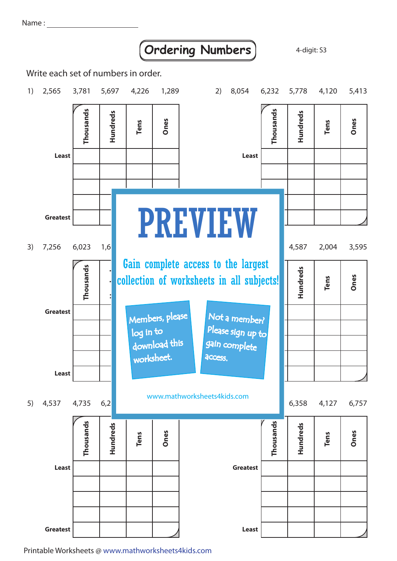Name :

## **Ordering Numbers** 4-digit: S3

Write each set of numbers in order.



Printable Worksheets @ www.mathworksheets4kids.com